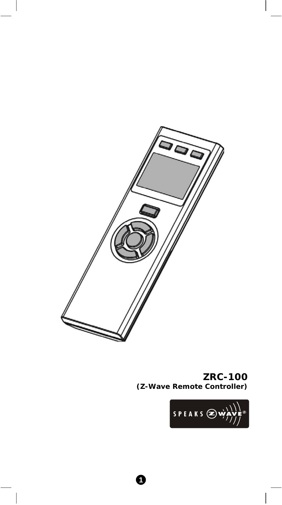

### **ZRC-100 (Z-Wave Remote Controller)**

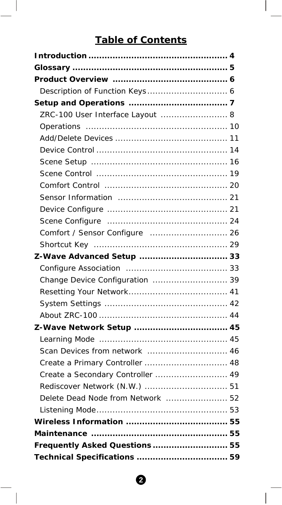# **Table of Contents**

| ZRC-100 User Interface Layout  8  |
|-----------------------------------|
|                                   |
|                                   |
|                                   |
|                                   |
|                                   |
|                                   |
|                                   |
|                                   |
|                                   |
| Comfort / Sensor Configure  26    |
|                                   |
| Z-Wave Advanced Setup  33         |
|                                   |
| Change Device Configuration  39   |
|                                   |
|                                   |
|                                   |
| Z-Wave Network Setup  45          |
|                                   |
| Scan Devices from network  46     |
| Create a Primary Controller  48   |
| Create a Secondary Controller  49 |
|                                   |
| Delete Dead Node from Network  52 |
|                                   |
|                                   |
|                                   |
| Frequently Asked Questions  55    |
|                                   |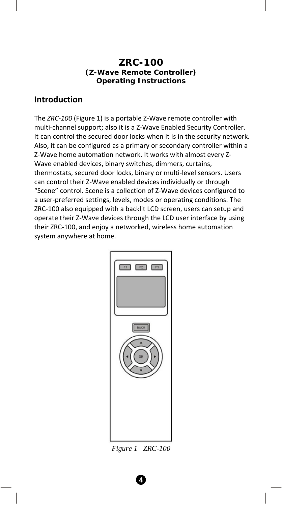#### **ZRC-100 (Z-Wave Remote Controller) Operating Instructions**

#### **Introduction**

The *ZRC‐100* (Figure 1) is a portable Z‐Wave remote controller with multi-channel support; also it is a Z-Wave Enabled Security Controller. It can control the secured door locks when it is in the security network. Also, it can be configured as a primary or secondary controller within a Z‐Wave home automation network. It works with almost every Z‐ Wave enabled devices, binary switches, dimmers, curtains, thermostats, secured door locks, binary or multi‐level sensors. Users can control their Z‐Wave enabled devices individually or through "Scene" control. Scene is a collection of Z‐Wave devices configured to a user‐preferred settings, levels, modes or operating conditions. The ZRC‐100 also equipped with a backlit LCD screen, users can setup and operate their Z‐Wave devices through the LCD user interface by using their ZRC‐100, and enjoy a networked, wireless home automation system anywhere at home.



*Figure 1 ZRC-100*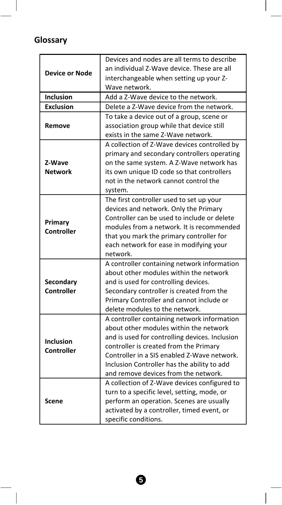# **Glossary**

I

|                       | Devices and nodes are all terms to describe                                          |
|-----------------------|--------------------------------------------------------------------------------------|
| <b>Device or Node</b> | an individual Z-Wave device. These are all                                           |
|                       | interchangeable when setting up your Z-                                              |
|                       | Wave network.                                                                        |
| <b>Inclusion</b>      | Add a Z-Wave device to the network.                                                  |
| <b>Exclusion</b>      | Delete a Z-Wave device from the network.                                             |
|                       | To take a device out of a group, scene or                                            |
| Remove                | association group while that device still                                            |
|                       | exists in the same Z-Wave network.                                                   |
|                       | A collection of Z-Wave devices controlled by                                         |
|                       | primary and secondary controllers operating                                          |
| Z-Wave                | on the same system. A Z-Wave network has                                             |
| <b>Network</b>        | its own unique ID code so that controllers                                           |
|                       | not in the network cannot control the                                                |
|                       | system.                                                                              |
|                       | The first controller used to set up your                                             |
|                       | devices and network. Only the Primary<br>Controller can be used to include or delete |
| Primary               | modules from a network. It is recommended                                            |
| Controller            |                                                                                      |
|                       | that you mark the primary controller for                                             |
|                       | each network for ease in modifying your                                              |
|                       | network.<br>A controller containing network information                              |
|                       | about other modules within the network                                               |
| Secondary             | and is used for controlling devices.                                                 |
| Controller            | Secondary controller is created from the                                             |
|                       | Primary Controller and cannot include or                                             |
|                       | delete modules to the network.                                                       |
|                       | A controller containing network information                                          |
|                       | about other modules within the network                                               |
|                       | and is used for controlling devices. Inclusion                                       |
| <b>Inclusion</b>      | controller is created from the Primary                                               |
| Controller            | Controller in a SIS enabled Z-Wave network.                                          |
|                       | Inclusion Controller has the ability to add                                          |
|                       | and remove devices from the network.                                                 |
|                       | A collection of Z-Wave devices configured to                                         |
|                       | turn to a specific level, setting, mode, or                                          |
| Scene                 | perform an operation. Scenes are usually                                             |
|                       | activated by a controller, timed event, or                                           |
|                       | specific conditions.                                                                 |
|                       |                                                                                      |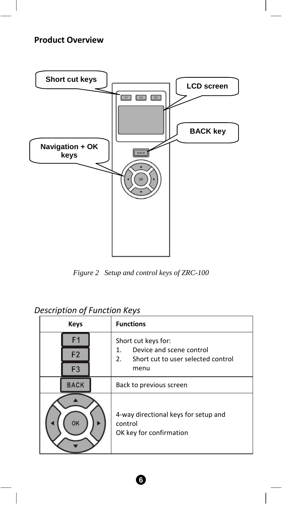# **Product Overview**



*Figure 2 Setup and control keys of ZRC-100* 

## *Description of Function Keys*

| Keys                                   | <b>Functions</b>                                                                                          |  |
|----------------------------------------|-----------------------------------------------------------------------------------------------------------|--|
| F1<br>F <sub>2</sub><br>F <sub>3</sub> | Short cut keys for:<br>Device and scene control<br>1.<br>2.<br>Short cut to user selected control<br>menu |  |
| <b>BACK</b>                            | Back to previous screen                                                                                   |  |
| OK                                     | 4-way directional keys for setup and<br>control<br>OK key for confirmation                                |  |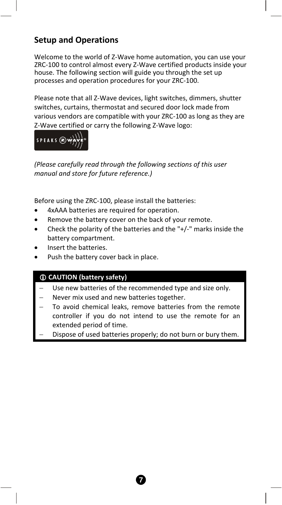## **Setup and Operations**

Welcome to the world of Z-Wave home automation, you can use your ZRC‐100 to control almost every Z‐Wave certified products inside your house. The following section will guide you through the set up processes and operation procedures for your ZRC‐100.

Please note that all Z‐Wave devices, light switches, dimmers, shutter switches, curtains, thermostat and secured door lock made from various vendors are compatible with your ZRC‐100 as long as they are Z‐Wave certified or carry the following Z‐Wave logo:



*(Please carefully read through the following sections of this user manual and store for future reference.)*

Before using the ZRC‐100, please install the batteries:

- 4xAAA batteries are required for operation.
- Remove the battery cover on the back of your remote.
- Check the polarity of the batteries and the  $+/-$ " marks inside the battery compartment.
- Insert the batteries.
- Push the battery cover back in place.

#### L **CAUTION (battery safety)**

- Use new batteries of the recommended type and size only.
- − Never mix used and new batteries together.
- To avoid chemical leaks, remove batteries from the remote controller if you do not intend to use the remote for an extended period of time.
- Dispose of used batteries properly; do not burn or bury them.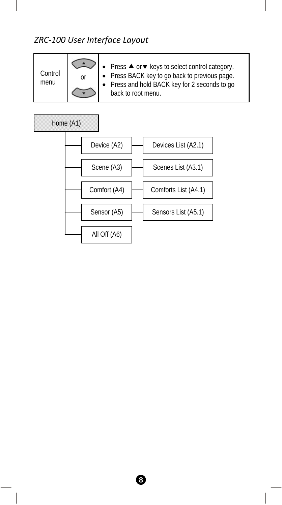# *ZRC‐100 User Interface Layout*

| Control<br>menu | or | Press ▲ or ▼ keys to select control category.<br>Press BACK key to go back to previous page.<br>• Press and hold BACK key for 2 seconds to go<br>back to root menu. |
|-----------------|----|---------------------------------------------------------------------------------------------------------------------------------------------------------------------|
|-----------------|----|---------------------------------------------------------------------------------------------------------------------------------------------------------------------|

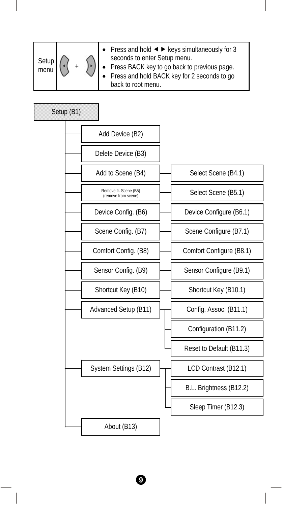| Setup<br>menu |  |  | • Press and hold $\blacktriangleleft$ $\blacktriangleright$ keys simultaneously for 3<br>seconds to enter Setup menu.<br>• Press BACK key to go back to previous page.<br>• Press and hold BACK key for 2 seconds to go<br>back to root menu. |
|---------------|--|--|-----------------------------------------------------------------------------------------------------------------------------------------------------------------------------------------------------------------------------------------------|
|---------------|--|--|-----------------------------------------------------------------------------------------------------------------------------------------------------------------------------------------------------------------------------------------------|

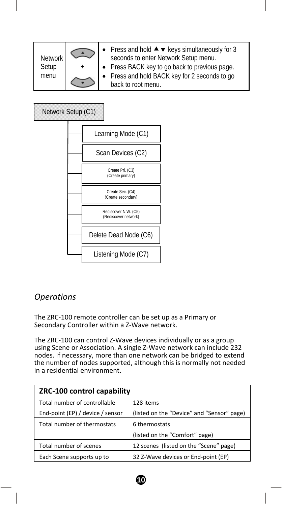| Network | • Press and hold $\blacktriangle \blacktriangledown$ keys simultaneously for 3<br>seconds to enter Network Setup menu. |  |
|---------|------------------------------------------------------------------------------------------------------------------------|--|
| Setup   | • Press BACK key to go back to previous page.                                                                          |  |
| menu    | • Press and hold BACK key for 2 seconds to go<br>back to root menu.                                                    |  |

### Network Setup (C1)



### *Operations*

The ZRC‐100 remote controller can be set up as a Primary or Secondary Controller within a Z‐Wave network.

The ZRC‐100 can control Z‐Wave devices individually or as a group using Scene or Association. A single Z‐Wave network can include 232 nodes. If necessary, more than one network can be bridged to extend the number of nodes supported, although this is normally not needed in a residential environment.

| ZRC-100 control capability       |                                            |  |
|----------------------------------|--------------------------------------------|--|
| Total number of controllable     | 128 items                                  |  |
| End-point (EP) / device / sensor | (listed on the "Device" and "Sensor" page) |  |
| Total number of thermostats      | 6 thermostats                              |  |
|                                  | (listed on the "Comfort" page)             |  |
| Total number of scenes           | 12 scenes (listed on the "Scene" page)     |  |
| Each Scene supports up to        | 32 Z-Wave devices or End-point (EP)        |  |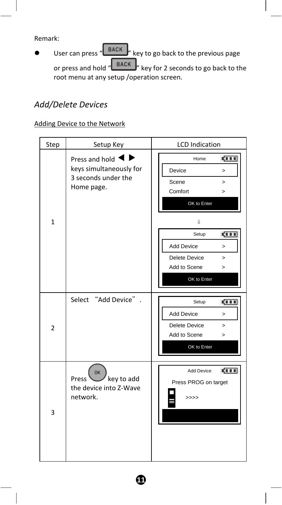Remark:

**EXECUTE:** User can press " **BACK** " key to go back to the previous page or press and hold " BACK " key for 2 seconds to go back to the root menu at any setup /operation screen.

# *Add/Delete Devices*

### Adding Device to the Network

| Step           | Setup Key                                                                      | <b>LCD</b> Indication                                                                                                                                                                                                 |
|----------------|--------------------------------------------------------------------------------|-----------------------------------------------------------------------------------------------------------------------------------------------------------------------------------------------------------------------|
| $\mathbf{1}$   | Press and hold<br>keys simultaneously for<br>3 seconds under the<br>Home page. | <b>CILL</b><br>Home<br>Device<br>$\geq$<br>Scene<br>$\geq$<br>Comfort<br>$\geq$<br>OK to Enter<br>IJ<br>ga a a<br>Setup<br><b>Add Device</b><br>$\geq$<br>Delete Device<br>$\geq$<br>Add to Scene<br>><br>OK to Enter |
| $\overline{2}$ | Select "Add Device" .                                                          | <b>CILL</b><br>Setup<br><b>Add Device</b><br>$\geq$<br>Delete Device<br>$\geq$<br>Add to Scene<br>><br>OK to Enter                                                                                                    |
| 3              | OK<br>key to add<br>Press <sup>1</sup><br>the device into Z-Wave<br>network.   | <b>CILL</b><br>Add Device<br>Press PROG on target<br>>>>>                                                                                                                                                             |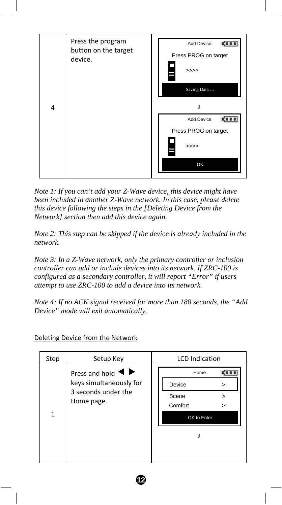

*Note 1: If you can't add your Z-Wave device, this device might have been included in another Z-Wave network. In this case, please delete this device following the steps in the [Deleting Device from the Network] section then add this device again.* 

*Note 2: This step can be skipped if the device is already included in the network.* 

*Note 3: In a Z-Wave network, only the primary controller or inclusion controller can add or include devices into its network. If ZRC-100 is configured as a secondary controller, it will report "Error" if users attempt to use ZRC-100 to add a device into its network.* 

*Note 4: If no ACK signal received for more than 180 seconds, the "Add Device" mode will exit automatically.* 

| Step | Setup Key                                                                                                               | <b>LCD</b> Indication                                                 |
|------|-------------------------------------------------------------------------------------------------------------------------|-----------------------------------------------------------------------|
| 1    | Press and hold $\blacktriangleleft \blacktriangleright$<br>keys simultaneously for<br>3 seconds under the<br>Home page. | Home<br>Device<br>><br>Scene<br>><br>Comfort<br>><br>OK to Enter<br>Л |
|      |                                                                                                                         |                                                                       |

**12** 

Deleting Device from the Network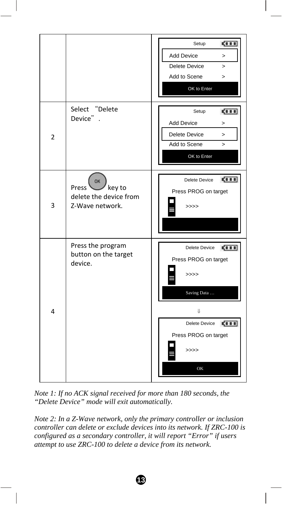

*Note 1: If no ACK signal received for more than 180 seconds, the "Delete Device" mode will exit automatically.* 

*Note 2: In a Z-Wave network, only the primary controller or inclusion controller can delete or exclude devices into its network. If ZRC-100 is configured as a secondary controller, it will report "Error" if users attempt to use ZRC-100 to delete a device from its network.*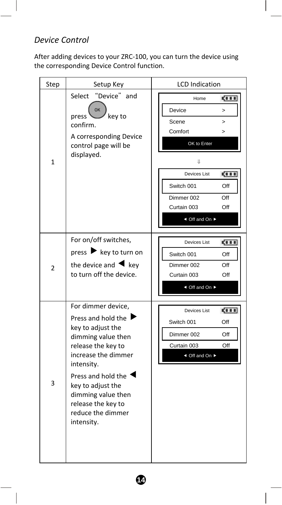## *Device Control*

After adding devices to your ZRC‐100, you can turn the device using the corresponding Device Control function.

| Step           | Setup Key                                                                                                                                                                                                                                                                  | <b>LCD</b> Indication                                                                                                                                                                                            |
|----------------|----------------------------------------------------------------------------------------------------------------------------------------------------------------------------------------------------------------------------------------------------------------------------|------------------------------------------------------------------------------------------------------------------------------------------------------------------------------------------------------------------|
| $\mathbf{1}$   | "Device" and<br>Select<br>OK<br>press<br>key to<br>confirm.<br>A corresponding Device<br>control page will be<br>displayed.                                                                                                                                                | ga a a<br>Home<br>Device<br>$\geq$<br>Scene<br>$\geq$<br>Comfort<br>$\geq$<br>OK to Enter<br>IJ<br>Devices List<br><b>CILI</b><br>Switch 001<br>Off<br>Dimmer 002<br>Off<br>Curtain 003<br>Off<br>◀ Off and On ▶ |
| $\overline{2}$ | For on/off switches,<br>press ▶ key to turn on<br>the device and $\blacktriangleleft$ key<br>to turn off the device.                                                                                                                                                       | gi n n<br>Devices List<br>Switch 001<br>Off<br>Dimmer 002<br>Off<br>Curtain 003<br>Off<br>◀ Off and On ▶                                                                                                         |
| 3              | For dimmer device,<br>Press and hold the I<br>key to adjust the<br>dimming value then<br>release the key to<br>increase the dimmer<br>intensity.<br>Press and hold the<br>key to adjust the<br>dimming value then<br>release the key to<br>reduce the dimmer<br>intensity. | Devices List<br><b>CILL</b><br>Switch 001<br>Off<br>Dimmer 002<br>Off<br>Curtain 003<br>Off<br>◀ Off and On ▶                                                                                                    |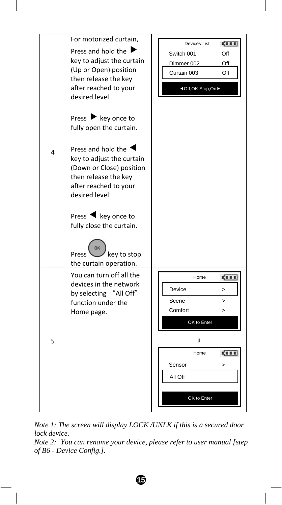

*Note 1: The screen will display LOCK /UNLK if this is a secured door lock device.* 

*Note 2: You can rename your device, please refer to user manual [step of B6 - Device Config.].*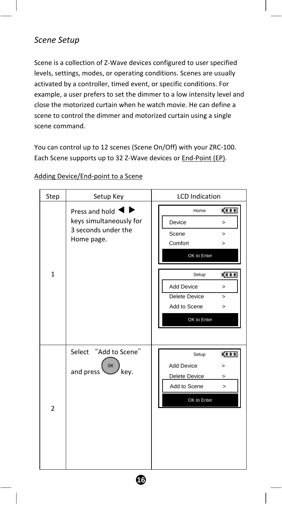## *Scene Setup*

Scene is a collection of Z‐Wave devices configured to user specified levels, settings, modes, or operating conditions. Scenes are usually activated by a controller, timed event, or specific conditions. For example, a user prefers to set the dimmer to a low intensity level and close the motorized curtain when he watch movie. He can define a scene to control the dimmer and motorized curtain using a single scene command.

You can control up to 12 scenes (Scene On/Off) with your ZRC‐100. Each Scene supports up to 32 Z‐Wave devices or End‐Point (EP).

| Step           | Setup Key                                                                                           | <b>LCD</b> Indication                                                                                                                                                                      |
|----------------|-----------------------------------------------------------------------------------------------------|--------------------------------------------------------------------------------------------------------------------------------------------------------------------------------------------|
| $\mathbf{1}$   | Press and hold $\blacktriangleleft$<br>keys simultaneously for<br>3 seconds under the<br>Home page. | <b>CERR</b><br>Home<br>Device<br>$\mathbf{r}$<br>Scene<br>$\geq$<br>Comfort<br>><br>OK to Enter<br><b>CELL</b><br>Setup<br>Add Device<br>$\geq$<br>Delete Device<br>$\geq$<br>Add to Scene |
|                |                                                                                                     | $\geq$<br>OK to Enter                                                                                                                                                                      |
| $\overline{2}$ | Select "Add to Scene"<br>OK<br>and press<br>key.                                                    | <b>CILL</b><br>Setup<br>Add Device<br>$\geq$<br>Delete Device<br>><br>Add to Scene<br>$\geq$<br>OK to Enter                                                                                |

**16** 

#### Adding Device/End‐point to a Scene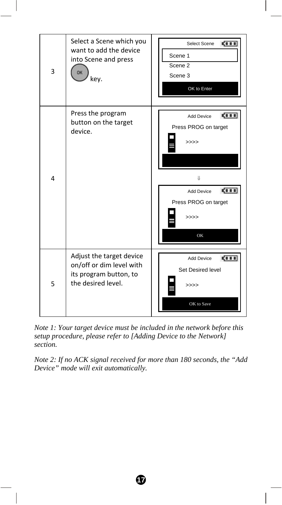

*Note 1: Your target device must be included in the network before this setup procedure, please refer to [Adding Device to the Network] section.* 

*Note 2: If no ACK signal received for more than 180 seconds, the "Add Device" mode will exit automatically.*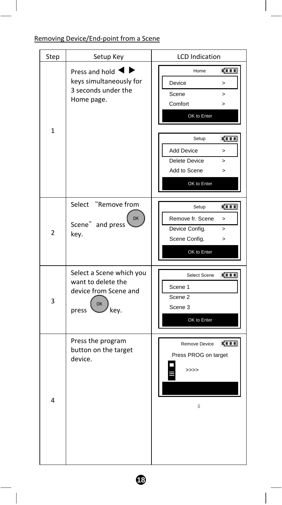Removing Device/End‐point from a Scene

| Step           | Setup Key                                                                                           | <b>LCD</b> Indication                                                                                                                                                                                          |
|----------------|-----------------------------------------------------------------------------------------------------|----------------------------------------------------------------------------------------------------------------------------------------------------------------------------------------------------------------|
| $\mathbf{1}$   | Press and hold $\blacktriangleleft$<br>keys simultaneously for<br>3 seconds under the<br>Home page. | gi i i<br>Home<br>Device<br>><br>Scene<br>ь<br>Comfort<br>><br>OK to Enter<br><b>CILL</b><br>Setup<br><b>Add Device</b><br>$\mathbf{r}$<br>Delete Device<br>$\overline{ }$<br>Add to Scene<br>><br>OK to Enter |
| $\overline{2}$ | "Remove from<br>Select<br>OK<br>Scene" and press<br>key.                                            | gi i i<br>Setup<br>Remove fr. Scene<br>><br>Device Config.<br>$\geq$<br>Scene Config.<br>><br>OK to Enter                                                                                                      |
| 3              | Select a Scene which you<br>want to delete the<br>device from Scene and<br>OK<br>key.<br>press      | Select Scene<br>5000<br>Scene 1<br>Scene <sub>2</sub><br>Scene 3<br>OK to Enter                                                                                                                                |
| 4              | Press the program<br>button on the target<br>device.                                                | <b>CETT</b><br>Remove Device<br>Press PROG on target<br>>>>><br>IJ                                                                                                                                             |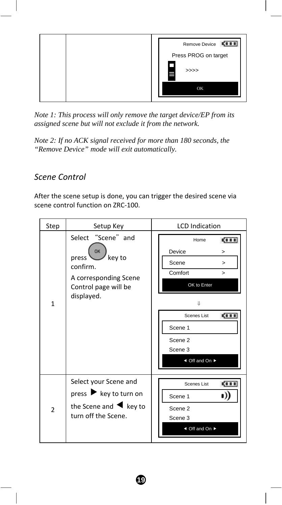

*Note 1: This process will only remove the target device/EP from its assigned scene but will not exclude it from the network.* 

*Note 2: If no ACK signal received for more than 180 seconds, the "Remove Device" mode will exit automatically.* 

## *Scene Control*

After the scene setup is done, you can trigger the desired scene via scene control function on ZRC‐100.

| Step           | Setup Key                                                                                                                               | <b>LCD</b> Indication                                                                                                                                            |
|----------------|-----------------------------------------------------------------------------------------------------------------------------------------|------------------------------------------------------------------------------------------------------------------------------------------------------------------|
| $\mathbf{1}$   | Select "Scene" and<br>ОК<br>key to<br>press <sup>'</sup><br>confirm.<br>A corresponding Scene<br>Control page will be<br>displayed.     | <b>CERR</b><br>Home<br>Device<br>><br>Scene<br>><br>Comfort<br>><br>OK to Enter<br>U<br>ga a a<br>Scenes List<br>Scene 1<br>Scene 2<br>Scene 3<br>◀ Off and On ▶ |
| $\overline{2}$ | Select your Scene and<br>press $\blacktriangleright$ key to turn on<br>the Scene and $\blacktriangleleft$ key to<br>turn off the Scene. | <b>CILL</b><br>Scenes List<br>Scene 1<br>Scene 2<br>Scene 3<br>◀ Off and On ▶                                                                                    |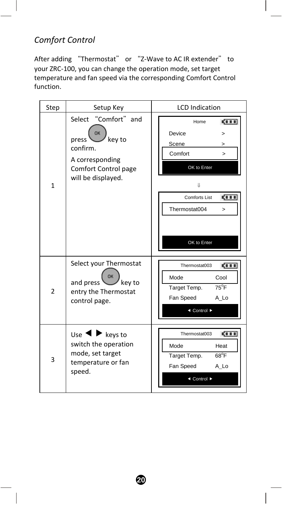# *Comfort Control*

After adding "Thermostat" or "Z-Wave to AC IR extender" to your ZRC‐100, you can change the operation mode, set target temperature and fan speed via the corresponding Comfort Control function.

| Step           | Setup Key                                                                                                                  | <b>LCD</b> Indication                                                                                                                                          |
|----------------|----------------------------------------------------------------------------------------------------------------------------|----------------------------------------------------------------------------------------------------------------------------------------------------------------|
| $\mathbf{1}$   | Select "Comfort" and<br>OK<br>key to<br>press<br>confirm.<br>A corresponding<br>Comfort Control page<br>will be displayed. | <b>CILL</b><br>Home<br>Device<br>><br>Scene<br>><br>Comfort<br>$\geq$<br>OK to Enter<br>Ш<br>gi s s<br>Comforts List<br>Thermostat004<br>$\geq$<br>OK to Enter |
| $\overline{2}$ | Select your Thermostat<br>and press<br>key to<br>entry the Thermostat<br>control page.                                     | <b>COLD</b><br>Thermostat003<br>Mode<br>Cool<br>$75^{\circ}$ F<br>Target Temp.<br>Fan Speed<br>A Lo<br>◀ Control ▶                                             |
| 3              | Use 1<br>$\blacktriangleright$ keys to<br>switch the operation<br>mode, set target<br>temperature or fan<br>speed.         | <b>CHIL</b><br>Thermostat003<br>Mode<br>Heat<br>$68^{\circ}$ F<br>Target Temp.<br>Fan Speed<br>A Lo<br>◀ Control ▶                                             |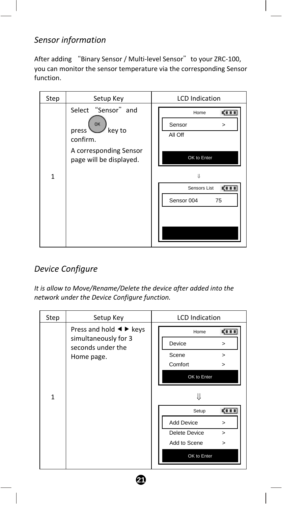## *Sensor information*

After adding "Binary Sensor / Multi-level Sensor" to your ZRC-100, you can monitor the sensor temperature via the corresponding Sensor function.

| Step         | Setup Key                                                | <b>LCD</b> Indication                    |
|--------------|----------------------------------------------------------|------------------------------------------|
|              | Select "Sensor" and<br>OK<br>key to<br>press<br>confirm. | ga a a<br>Home<br>Sensor<br>><br>All Off |
|              | A corresponding Sensor<br>page will be displayed.        | OK to Enter                              |
| $\mathbf{1}$ |                                                          | Л                                        |
|              |                                                          | Sensors List                             |
|              |                                                          | Sensor 004<br>75                         |
|              |                                                          |                                          |
|              |                                                          |                                          |
|              |                                                          |                                          |

## *Device Configure*

*It is allow to Move/Rename/Delete the device after added into the network under the Device Configure function.* 

| Step         | Setup Key                                                                                                                 | <b>LCD</b> Indication                                                                 |
|--------------|---------------------------------------------------------------------------------------------------------------------------|---------------------------------------------------------------------------------------|
|              | Press and hold $\blacktriangleleft$ $\blacktriangleright$ keys<br>simultaneously for 3<br>seconds under the<br>Home page. | Home<br>KI I I<br>Device<br>><br>Scene<br>><br>Comfort<br>>                           |
| $\mathbf{1}$ |                                                                                                                           | OK to Enter<br>Setup<br><b>KIII</b>                                                   |
|              |                                                                                                                           | <b>Add Device</b><br>><br>Delete Device<br>$\geq$<br>Add to Scene<br>><br>OK to Enter |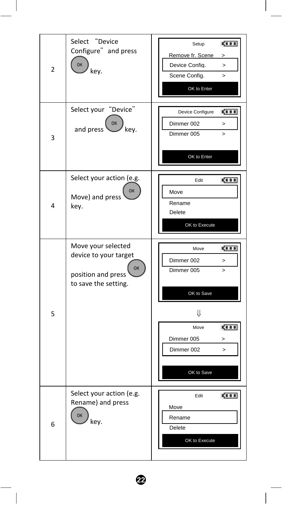| $\overline{2}$ | Select "Device<br>Configure" and press<br><b>OK</b><br>key.                                     | <b>CITE</b><br>Setup<br>Remove fr. Scene<br>><br>Device Config.<br>$\,>\,$<br>Scene Config.<br>$\overline{\phantom{1}}$<br>OK to Enter                    |
|----------------|-------------------------------------------------------------------------------------------------|-----------------------------------------------------------------------------------------------------------------------------------------------------------|
| 3              | Select your "Device"<br>OK<br>and press<br>key.                                                 | Device Configure<br>5111<br>Dimmer 002<br>$\geq$<br>Dimmer 005<br>$\mathbf{r}$<br>OK to Enter                                                             |
| 4              | Select your action (e.g.<br><b>OK</b><br>Move) and press<br>key.                                | 4111<br>Edit<br>Move<br>Rename<br>Delete<br>OK to Execute                                                                                                 |
| 5              | Move your selected<br>device to your target<br>OK<br>position and press<br>to save the setting. | Move<br>4111<br>Dimmer 002<br>><br>Dimmer 005<br>$\geq$<br>OK to Save<br>⇓<br>5111<br>Move<br>Dimmer 005<br>><br>Dimmer 002<br>$\mathbf{I}$<br>OK to Save |
| 6              | Select your action (e.g.<br>Rename) and press<br>OK<br>key.                                     | 500<br>Edit<br>Move<br>Rename<br>Delete<br>OK to Execute                                                                                                  |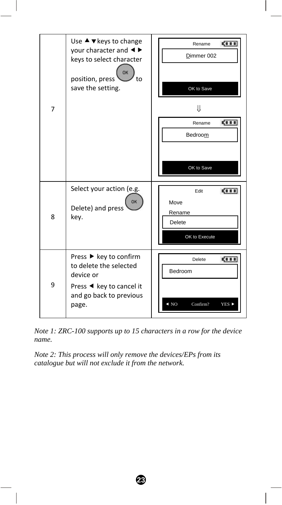

*Note 1: ZRC-100 supports up to 15 characters in a row for the device name.* 

**23** 

*Note 2: This process will only remove the devices/EPs from its catalogue but will not exclude it from the network.*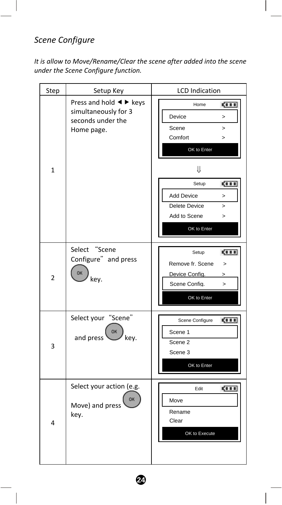# *Scene Configure*

*It is allow to Move/Rename/Clear the scene after added into the scene under the Scene Configure function.* 

| Step           | Setup Key                                                                                                                 | <b>LCD</b> Indication                                                                                                                                                                                        |
|----------------|---------------------------------------------------------------------------------------------------------------------------|--------------------------------------------------------------------------------------------------------------------------------------------------------------------------------------------------------------|
| $\mathbf{1}$   | Press and hold $\blacktriangleleft$ $\blacktriangleright$ keys<br>simultaneously for 3<br>seconds under the<br>Home page. | <b>CITE</b><br>Home<br>Device<br>><br>Scene<br>$\geq$<br>Comfort<br>$\geq$<br>OK to Enter<br>⇓<br>ga a a<br>Setup<br><b>Add Device</b><br>><br><b>Delete Device</b><br>><br>Add to Scene<br>><br>OK to Enter |
| $\overline{2}$ | Select "Scene<br>Configure" and press<br><b>OK</b><br>key.                                                                | 500<br>Setup<br>Remove fr. Scene<br>$\, > \,$<br>Device Config.<br>><br>Scene Config.<br>$\geq$<br>OK to Enter                                                                                               |
| 3              | Select your "Scene"<br>OK<br>and press'<br>key.                                                                           | <b>CILE</b><br>Scene Configure<br>Scene 1<br>Scene 2<br>Scene 3<br>OK to Enter                                                                                                                               |
| 4              | Select your action (e.g.<br>OK<br>Move) and press<br>key.                                                                 | <b>CITE</b><br>Edit<br>Move<br>Rename<br>Clear<br>OK to Execute                                                                                                                                              |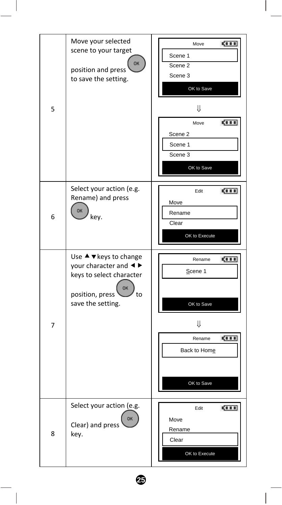| 5 | Move your selected<br>scene to your target<br>OK<br>position and press<br>to save the setting.                                                                    | 4111<br>Move<br>Scene 1<br>Scene 2<br>Scene 3<br>OK to Save<br>⇓<br>5111<br>Move<br>Scene 2<br>Scene 1<br>Scene 3<br>OK to Save |
|---|-------------------------------------------------------------------------------------------------------------------------------------------------------------------|---------------------------------------------------------------------------------------------------------------------------------|
| 6 | Select your action (e.g.<br>Rename) and press<br>OK<br>key.                                                                                                       | Edit<br><b>CORP.</b><br>Move<br>Rename<br>Clear<br>OK to Execute                                                                |
| 7 | Use $\blacktriangle$ $\blacktriangledown$ keys to change<br>your character and <▶<br>keys to select character<br>OK<br>position, press<br>to<br>save the setting. | <b>CILL</b><br>Rename<br>Scene 1<br>OK to Save<br>Ų<br>4111<br>Rename<br>Back to Home<br>OK to Save                             |
| 8 | Select your action (e.g.<br>OK<br>Clear) and press<br>key.                                                                                                        | Edit<br><b>CORP.</b><br>Move<br>Rename<br>Clear<br>OK to Execute                                                                |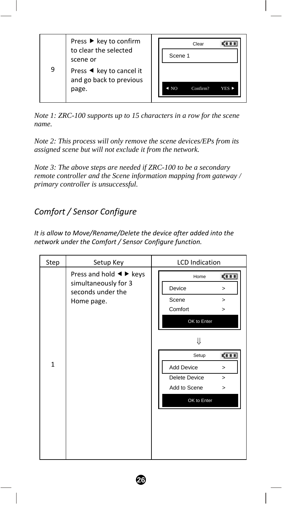| 9 | Press ▶ key to confirm<br>to clear the selected<br>scene or<br>Press $\triangleleft$ key to cancel it<br>and go back to previous<br>page. | Clear<br>Scene 1<br>NO.<br>Confirm?<br>YES <sup>D</sup> |
|---|-------------------------------------------------------------------------------------------------------------------------------------------|---------------------------------------------------------|
|   |                                                                                                                                           |                                                         |

*Note 1: ZRC-100 supports up to 15 characters in a row for the scene name.* 

*Note 2: This process will only remove the scene devices/EPs from its assigned scene but will not exclude it from the network.* 

*Note 3: The above steps are needed if ZRC-100 to be a secondary remote controller and the Scene information mapping from gateway / primary controller is unsuccessful.* 

# *Comfort / Sensor Configure*

*It is allow to Move/Rename/Delete the device after added into the network under the Comfort / Sensor Configure function.* 

| Step         | Setup Key                                                                                                   | <b>LCD</b> Indication   |                                 |
|--------------|-------------------------------------------------------------------------------------------------------------|-------------------------|---------------------------------|
| Home page.   | Press and hold $\blacktriangleleft$ $\blacktriangleright$ keys<br>simultaneously for 3<br>seconds under the | Home<br>Device<br>Scene | <b>CITE</b><br>$\geq$<br>$\geq$ |
|              |                                                                                                             | Comfort<br>OK to Enter  | $\geq$                          |
|              |                                                                                                             | ₩                       |                                 |
| $\mathbf{1}$ |                                                                                                             | Setup                   | <b>CERR</b>                     |
|              |                                                                                                             | Add Device              | $\geq$                          |
|              |                                                                                                             | <b>Delete Device</b>    | $\geq$                          |
|              |                                                                                                             | Add to Scene            | $\geq$                          |
|              |                                                                                                             | OK to Enter             |                                 |
|              |                                                                                                             |                         |                                 |
|              |                                                                                                             |                         |                                 |
|              |                                                                                                             |                         |                                 |
|              |                                                                                                             |                         |                                 |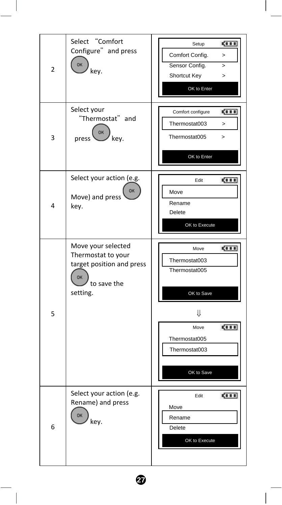| 2 | Select "Comfort<br>Configure" and press<br>OK<br>key.                                                  | <u> (111)</u><br>Setup<br>Comfort Config.<br>$\mathbf{r}$<br>Sensor Config.<br>$\,>\,$<br>Shortcut Key<br>$\geq$<br>OK to Enter |
|---|--------------------------------------------------------------------------------------------------------|---------------------------------------------------------------------------------------------------------------------------------|
| 3 | Select your<br>"Thermostat" and<br>OK<br>key.<br>press                                                 | 4111<br>Comfort configure<br>Thermostat003<br>$\geq$<br>Thermostat005<br>$\geq$<br>OK to Enter                                  |
| 4 | Select your action (e.g.<br>OK<br>Move) and press<br>key.                                              | 5111<br>Edit<br>Move<br>Rename<br>Delete<br>OK to Execute                                                                       |
| 5 | Move your selected<br>Thermostat to your<br>target position and press<br>OK<br>to save the<br>setting. | <b>CHI</b><br>Move<br>Thermostat003<br>Thermostat005<br>OK to Save<br>⇓                                                         |
|   |                                                                                                        | <b>CILL</b><br>Move<br>Thermostat005<br>Thermostat003<br>OK to Save                                                             |
| 6 | Select your action (e.g.<br>Rename) and press<br>OK<br>key.                                            | <b>CILL</b><br>Edit<br>Move<br>Rename<br>Delete<br>OK to Execute                                                                |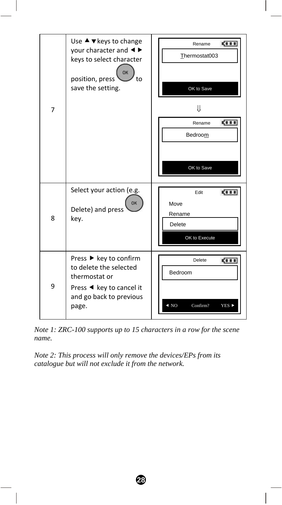

*Note 1: ZRC-100 supports up to 15 characters in a row for the scene name.* 

*Note 2: This process will only remove the devices/EPs from its catalogue but will not exclude it from the network.*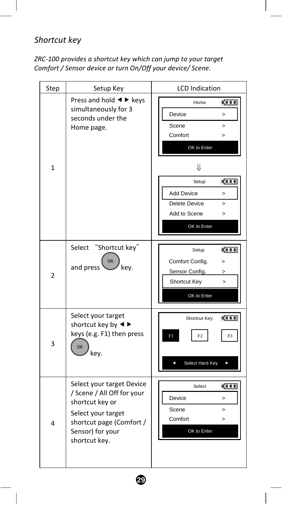## *Shortcut key*

*ZRC‐100 provides a shortcut key which can jump to your target Comfort / Sensor device or turn On/Off your device/ Scene.*

| Step           | Setup Key                                                                                                                                                         | <b>LCD</b> Indication                                                                                                                                                                                               |
|----------------|-------------------------------------------------------------------------------------------------------------------------------------------------------------------|---------------------------------------------------------------------------------------------------------------------------------------------------------------------------------------------------------------------|
| $\mathbf{1}$   | Press and hold $\blacktriangleleft$ $\blacktriangleright$ keys<br>simultaneously for 3<br>seconds under the<br>Home page.                                         | <b>CILE</b><br>Home<br>Device<br>><br>Scene<br>$\mathbf{r}$<br>Comfort<br>><br>OK to Enter<br>⇓<br>ста<br>Setup<br><b>Add Device</b><br>$\mathbf{r}$<br>Delete Device<br>$\geq$<br>Add to Scene<br>><br>OK to Enter |
| $\overline{2}$ | "Shortcut key"<br>Select<br>OK<br>and press<br>kev.                                                                                                               | ga a a<br>Setup<br>Comfort Config.<br>><br>Sensor Config.<br>><br><b>Shortcut Kev</b><br>$\mathbf{r}$<br>OK to Enter                                                                                                |
| 3              | Select your target<br>shortcut key by $\triangleleft$<br>keys (e.g. F1) then press<br>OK<br>kev.                                                                  | <b>CILI</b><br>Shortcut Key<br>F <sub>2</sub><br>F1<br>F <sub>3</sub><br>Select Hard Key                                                                                                                            |
| 4              | Select your target Device<br>/ Scene / All Off for your<br>shortcut key or<br>Select your target<br>shortcut page (Comfort /<br>Sensor) for your<br>shortcut key. | ста<br>Select<br>Device<br>$\geq$<br>Scene<br>$\geq$<br>Comfort<br>><br>OK to Enter                                                                                                                                 |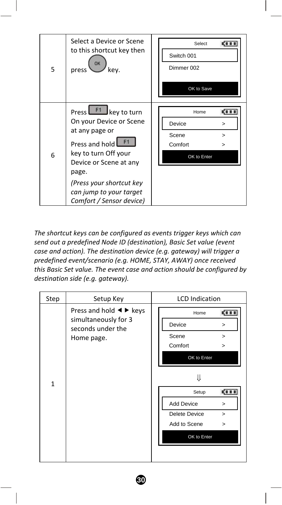

*The shortcut keys can be configured as events trigger keys which can send out a predefined Node ID (destination), Basic Set value (event case and action). The destination device (e.g. gateway) will trigger a predefined event/scenario (e.g. HOME, STAY, AWAY) once received this Basic Set value. The event case and action should be configured by destination side (e.g. gateway).* 

| Step         | Setup Key                                                                                                                 | <b>LCD</b> Indication                                                                                                              |
|--------------|---------------------------------------------------------------------------------------------------------------------------|------------------------------------------------------------------------------------------------------------------------------------|
|              | Press and hold $\blacktriangleleft$ $\blacktriangleright$ keys<br>simultaneously for 3<br>seconds under the<br>Home page. | gi s s<br>Home<br>Device<br>$\geq$<br>Scene<br>$\geq$<br>Comfort<br>>                                                              |
| $\mathbf{1}$ |                                                                                                                           | OK to Enter<br>JL<br>ga a a<br>Setup<br>Add Device<br>$\geq$<br><b>Delete Device</b><br>$\geq$<br>Add to Scene<br>><br>OK to Enter |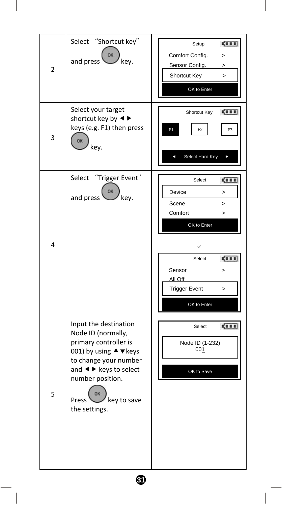| $\overline{2}$ | Select<br>"Shortcut key"<br>OK<br>and press<br>key.<br>Select your target<br>shortcut key by < ▶                                                                                                                                                     | <b>CITE</b><br>Setup<br>Comfort Config.<br>><br>Sensor Config.<br>><br><b>Shortcut Key</b><br>$\overline{ }$<br>OK to Enter<br><b>CILL</b><br>Shortcut Key                                               |
|----------------|------------------------------------------------------------------------------------------------------------------------------------------------------------------------------------------------------------------------------------------------------|----------------------------------------------------------------------------------------------------------------------------------------------------------------------------------------------------------|
| 3              | keys (e.g. F1) then press<br>OK<br>key.                                                                                                                                                                                                              | F2<br>F1<br>F <sub>3</sub><br>Select Hard Key<br>Þ<br>c                                                                                                                                                  |
| 4              | "Trigger Event"<br>Select<br>OK<br>and press<br>key.                                                                                                                                                                                                 | <b>CITE</b><br>Select<br>Device<br>><br>Scene<br>$\geq$<br>Comfort<br>$\geq$<br>OK to Enter<br>⇓<br>5000<br>Select<br>Sensor<br>$\geq$<br>All Off<br><b>Trigger Event</b><br>$\mathbf{I}$<br>OK to Enter |
| 5              | Input the destination<br>Node ID (normally,<br>primary controller is<br>001) by using ▲ vkeys<br>to change your number<br>and $\blacktriangleleft$ $\blacktriangleright$ keys to select<br>number position.<br>Press<br>key to save<br>the settings. | Select<br><b>CILE</b><br>Node ID (1-232)<br>001<br>OK to Save                                                                                                                                            |
|                | ❹                                                                                                                                                                                                                                                    |                                                                                                                                                                                                          |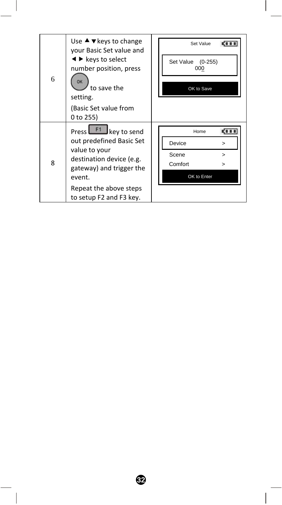| 6 | Use $\blacktriangle$ $\blacktriangledown$ keys to change<br>your Basic Set value and<br>$\blacktriangleleft$ $\blacktriangleright$ keys to select<br>number position, press<br>to save the<br>setting. | Set Value<br>Set Value<br>$(0-255)$<br>000<br>OK to Save |
|---|--------------------------------------------------------------------------------------------------------------------------------------------------------------------------------------------------------|----------------------------------------------------------|
|   | (Basic Set value from<br>$0$ to 255)                                                                                                                                                                   |                                                          |
|   | Press <b>LET</b> key to send                                                                                                                                                                           | KI I I<br>Home                                           |
| 8 | out predefined Basic Set                                                                                                                                                                               | Device<br>>                                              |
|   | value to your<br>destination device (e.g.                                                                                                                                                              | Scene<br>$\geq$                                          |
|   | gateway) and trigger the                                                                                                                                                                               | Comfort<br>>                                             |
|   | event.                                                                                                                                                                                                 | OK to Enter                                              |
|   | Repeat the above steps                                                                                                                                                                                 |                                                          |
|   | to setup F2 and F3 key.                                                                                                                                                                                |                                                          |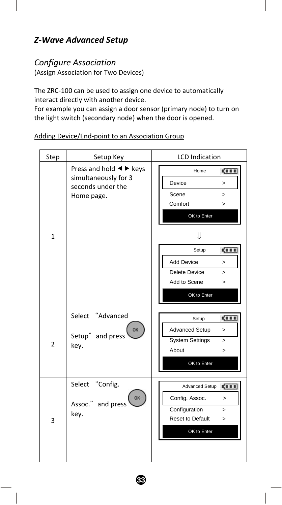## *Z‐Wave Advanced Setup*

#### *Configure Association*

(Assign Association for Two Devices)

The ZRC‐100 can be used to assign one device to automatically interact directly with another device.

For example you can assign a door sensor (primary node) to turn on the light switch (secondary node) when the door is opened.

Step Setup Key | LCD Indication Press and hold  $\blacktriangleleft$   $\blacktriangleright$  keys Home **CITE** simultaneously for 3 Device > seconds under the Scene > Home page. Comfort > OK to Enter 1 ⇓ Setup **CITE** Add Device > Delete Device > Add to Scene  $\rightarrow$ OK to Enter Select "Advanced Setup **COLD** OK Advanced Setup > Setup" and press System Settings > 2 key. About > OK to Enter Select "Config. Advanced Setup **CITE** OK Config. Assoc. > Assoc." and press Configuration >key. Reset to Default > 3 OK to Enter

**33** 

#### Adding Device/End‐point to an Association Group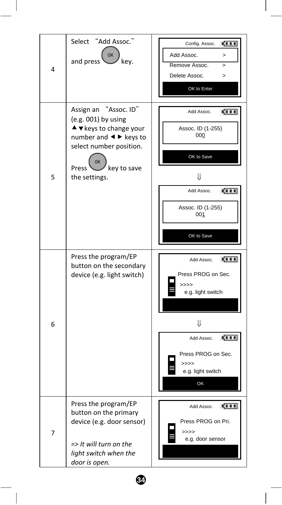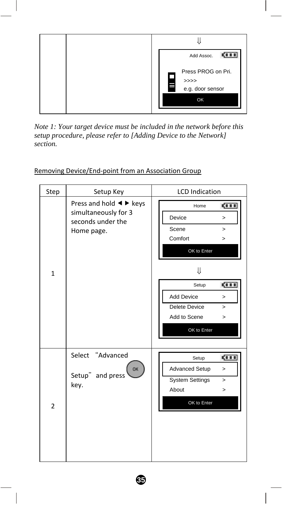

*Note 1: Your target device must be included in the network before this setup procedure, please refer to [Adding Device to the Network] section.* 

| Step           | Setup Key                                                                                                                 | <b>LCD</b> Indication                                                                                                                                                                                              |
|----------------|---------------------------------------------------------------------------------------------------------------------------|--------------------------------------------------------------------------------------------------------------------------------------------------------------------------------------------------------------------|
| $\mathbf{1}$   | Press and hold $\blacktriangleleft$ $\blacktriangleright$ keys<br>simultaneously for 3<br>seconds under the<br>Home page. | <b>CILL</b><br>Home<br>Device<br>$\geq$<br>Scene<br>$\geq$<br>Comfort<br>$\geq$<br>OK to Enter<br>⇓<br>gi i i<br>Setup<br>Add Device<br>$\geq$<br>Delete Device<br>$\geq$<br>Add to Scene<br>$\geq$<br>OK to Enter |
| $\overline{2}$ | Select "Advanced<br>OK<br>Setup" and press<br>key.                                                                        | ga a a<br>Setup<br>Advanced Setup<br>$\geq$<br><b>System Settings</b><br>$\geq$<br>About<br>$\geq$<br>OK to Enter                                                                                                  |

#### Removing Device/End‐point from an Association Group

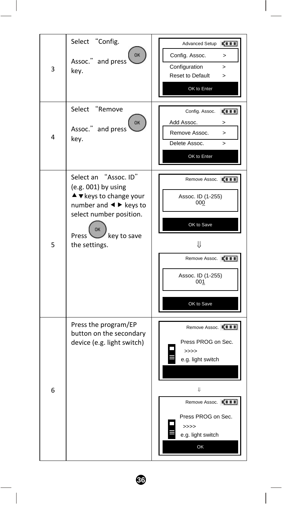| 3<br>4 | Select "Config.<br>OK<br>Assoc." and press<br>key.<br>"Remove<br>Select<br>OK<br>Assoc." and press<br>key.                                                                                                      | Advanced Setup<br>5111<br>Config. Assoc.<br>$\mathbf{r}$<br>Configuration<br>><br>Reset to Default<br>><br>OK to Enter<br><b>CITE</b><br>Config. Assoc.<br>Add Assoc.<br>><br>Remove Assoc.<br>$\geq$<br>Delete Assoc.<br>><br>OK to Enter |
|--------|-----------------------------------------------------------------------------------------------------------------------------------------------------------------------------------------------------------------|--------------------------------------------------------------------------------------------------------------------------------------------------------------------------------------------------------------------------------------------|
| 5      | Select an "Assoc. ID"<br>$(e.g. 001)$ by using<br>$\blacktriangle$ $\blacktriangledown$ keys to change your<br>number and < ► keys to<br>select number position.<br>OK<br>key to save<br>Press<br>the settings. | Remove Assoc. LEIL<br>Assoc. ID (1-255)<br>000<br>OK to Save<br>⇓<br>Remove Assoc. <b>KILL</b><br>Assoc. ID (1-255)<br>001<br>OK to Save                                                                                                   |
| 6      | Press the program/EP<br>button on the secondary<br>device (e.g. light switch)                                                                                                                                   | Remove Assoc. L'ILL<br>Press PROG on Sec.<br>$\gg >>$<br>e.g. light switch<br>IJ<br>Remove Assoc. <b>IN III</b><br>Press PROG on Sec.<br>>>>><br>e.g. light switch<br>OK                                                                   |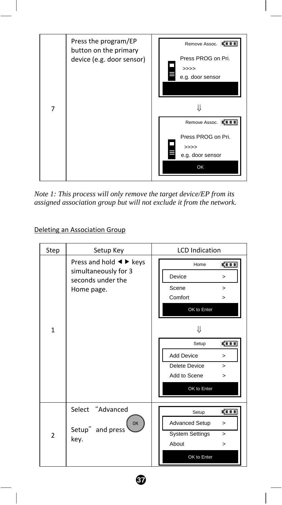

*Note 1: This process will only remove the target device/EP from its assigned association group but will not exclude it from the network.* 

#### Deleting an Association Group

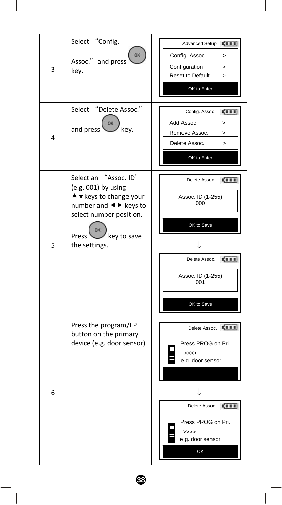| 3<br>4 | Select "Config.<br>OK<br>Assoc." and press<br>key.<br>"Delete Assoc."<br>Select<br>OK<br>and press<br>key.                                                                                                         | Advanced Setup<br><b>CITE</b><br>Config. Assoc.<br>><br>Configuration<br>$\geq$<br>Reset to Default<br>$\mathbf{r}$<br>OK to Enter<br>Config. Assoc.<br><b>CITE</b><br>Add Assoc.<br>><br>Remove Assoc.<br>><br>Delete Assoc.<br>><br>OK to Enter |
|--------|--------------------------------------------------------------------------------------------------------------------------------------------------------------------------------------------------------------------|---------------------------------------------------------------------------------------------------------------------------------------------------------------------------------------------------------------------------------------------------|
| 5      | "Assoc. ID"<br>Select an<br>$(e.g. 001)$ by using<br>$\blacktriangle$ $\blacktriangledown$ keys to change your<br>number and < ► keys to<br>select number position.<br>OK<br>Press<br>key to save<br>the settings. | <b>CERE</b><br>Delete Assoc.<br>Assoc. ID (1-255)<br>000<br>OK to Save<br>⇓<br>Delete Assoc.<br><b>COLD</b><br>Assoc. ID (1-255)<br>001<br>OK to Save                                                                                             |
| 6      | Press the program/EP<br>button on the primary<br>device (e.g. door sensor)                                                                                                                                         | Delete Assoc. [ I I I I<br>Press PROG on Pri.<br>>>><br>e.g. door sensor<br>₩<br><b>CILL</b><br>Delete Assoc.<br>Press PROG on Pri.<br>>>>><br>e.g. door sensor<br>OK                                                                             |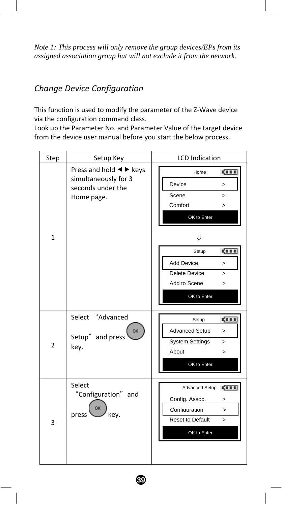*Note 1: This process will only remove the group devices/EPs from its assigned association group but will not exclude it from the network.* 

## *Change Device Configuration*

This function is used to modify the parameter of the Z‐Wave device via the configuration command class.

Look up the Parameter No. and Parameter Value of the target device from the device user manual before you start the below process.

| Step           | Setup Key                                                                                                                 | <b>LCD</b> Indication                                                                                                                                                                                                |
|----------------|---------------------------------------------------------------------------------------------------------------------------|----------------------------------------------------------------------------------------------------------------------------------------------------------------------------------------------------------------------|
| $\mathbf{1}$   | Press and hold $\blacktriangleleft$ $\blacktriangleright$ keys<br>simultaneously for 3<br>seconds under the<br>Home page. | gi i i<br>Home<br>Device<br>$\geq$<br>Scene<br>$\geq$<br>Comfort<br>$\geq$<br>OK to Enter<br>⇓<br>gi i i<br>Setup<br><b>Add Device</b><br>$\geq$<br>Delete Device<br>$\geq$<br>Add to Scene<br>$\geq$<br>OK to Enter |
| $\overline{2}$ | Select "Advanced<br>OK<br>Setup" and press<br>key.                                                                        | gi i i<br>Setup<br>Advanced Setup<br>$\geq$<br><b>System Settings</b><br>$\geq$<br>About<br>$\geq$<br>OK to Enter                                                                                                    |
| 3              | Select<br>"Configuration" and<br>OK<br>key.<br>press                                                                      | ga a a<br>Advanced Setup<br>Config. Assoc.<br>><br>Configuration<br>$\geq$<br>Reset to Default<br>$\geq$<br>OK to Enter                                                                                              |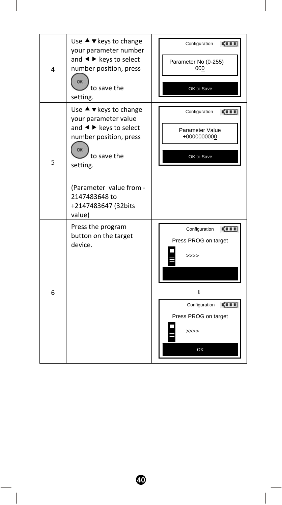| 4 | Use $\blacktriangle$ $\blacktriangledown$ keys to change<br>your parameter number<br>and $\blacktriangleleft$ $\blacktriangleright$ keys to select<br>number position, press<br>OK<br>to save the<br>setting.                                                                             | <b>CIII</b><br>Configuration<br>Parameter No (0-255)<br>000<br>OK to Save                                                           |
|---|-------------------------------------------------------------------------------------------------------------------------------------------------------------------------------------------------------------------------------------------------------------------------------------------|-------------------------------------------------------------------------------------------------------------------------------------|
| 5 | Use $\blacktriangle$ $\blacktriangledown$ keys to change<br>your parameter value<br>and $\blacktriangleleft$ $\blacktriangleright$ keys to select<br>number position, press<br>OK<br>to save the<br>setting.<br>(Parameter value from -<br>2147483648 to<br>+2147483647 (32bits<br>value) | ga a a<br>Configuration<br>Parameter Value<br>+0000000000<br>OK to Save                                                             |
| 6 | Press the program<br>button on the target<br>device.                                                                                                                                                                                                                                      | ga a a<br>Configuration<br>Press PROG on target<br>>>>><br>J.<br><b>CILL</b><br>Configuration<br>Press PROG on target<br>>>>><br>OK |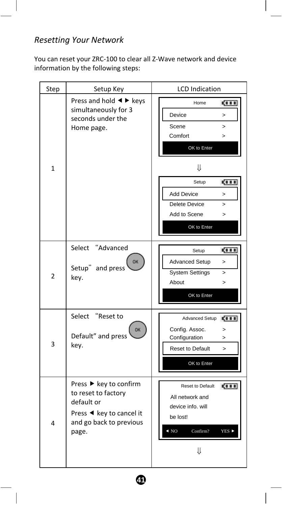## *Resetting Your Network*

You can reset your ZRC‐100 to clear all Z‐Wave network and device information by the following steps:

| Step           | Setup Key                                                                                                                   | <b>LCD</b> Indication                                                                                                                                                                                                                      |
|----------------|-----------------------------------------------------------------------------------------------------------------------------|--------------------------------------------------------------------------------------------------------------------------------------------------------------------------------------------------------------------------------------------|
| $\mathbf{1}$   | Press and hold $\blacktriangleleft$ $\blacktriangleright$ keys<br>simultaneously for 3<br>seconds under the<br>Home page.   | ga a a<br>Home<br>Device<br>$\mathbf{r}$<br>Scene<br>$\mathbf{r}$<br>Comfort<br>$\geq$<br>OK to Enter<br>⇓<br>Setup<br><b>COLD</b><br>Add Device<br>$\mathbf{r}$<br>Delete Device<br>$\mathbf{r}$<br>Add to Scene<br>$\geq$<br>OK to Enter |
| $\overline{2}$ | "Advanced<br>Select<br>OK<br>Setup" and press<br>key.                                                                       | <b>CERE</b><br>Setup<br><b>Advanced Setup</b><br>$\mathbf{r}$<br><b>System Settings</b><br>$\geq$<br>About<br>><br>OK to Enter                                                                                                             |
| 3              | Select "Reset to<br>OK<br>Default" and press<br>key.                                                                        | Advanced Setup<br><b>CILL</b><br>Config. Assoc.<br>$\, > \,$<br>Configuration<br>$\geq$<br><b>Reset to Default</b><br>$\mathbf{r}$<br>OK to Enter                                                                                          |
| 4              | Press ▶ key to confirm<br>to reset to factory<br>default or<br>Press ◀ key to cancel it<br>and go back to previous<br>page. | Reset to Default<br>511<br>All network and<br>device info, will<br>be lost!<br>$\triangleleft$ NO<br>Confirm?<br>YES ▶<br>⇓                                                                                                                |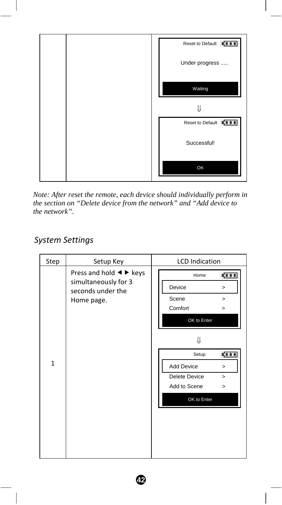

*Note: After reset the remote, each device should individually perform in the section on "Delete device from the network" and "Add device to the network".* 

## *System Settings*

| Step         | Setup Key                                                                                                                 | <b>LCD</b> Indication                                                                                       |
|--------------|---------------------------------------------------------------------------------------------------------------------------|-------------------------------------------------------------------------------------------------------------|
|              | Press and hold $\blacktriangleleft$ $\blacktriangleright$ keys<br>simultaneously for 3<br>seconds under the<br>Home page. | <b>CERE</b><br>Home<br>Device<br>><br>Scene<br>><br>Comfort<br>><br>OK to Enter                             |
| $\mathbf{1}$ |                                                                                                                           | ₩<br>ga a a<br>Setup<br>Add Device<br>$\geq$<br>Delete Device<br>$\geq$<br>Add to Scene<br>><br>OK to Enter |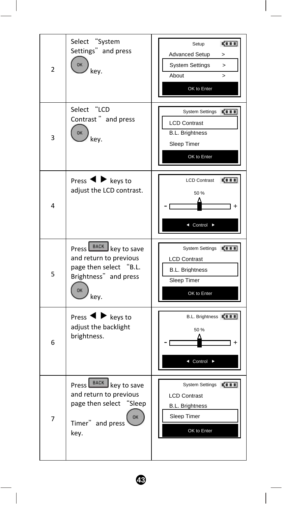| 2 | Select "System<br>Settings" and press<br>OK<br>kev.                                                                | <b>CERE</b><br>Setup<br><b>Advanced Setup</b><br>><br><b>System Settings</b><br>><br>About<br>><br>OK to Enter       |
|---|--------------------------------------------------------------------------------------------------------------------|----------------------------------------------------------------------------------------------------------------------|
| 3 | Select "LCD<br>Contrast" and press<br>OK<br>kev.                                                                   | <b>System Settings</b><br><b>CERE</b><br><b>LCD Contrast</b><br><b>B.L. Brightness</b><br>Sleep Timer<br>OK to Enter |
| 4 | Press $\blacktriangleleft$ $\blacktriangleright$ keys to<br>adjust the LCD contrast.                               | 5111<br><b>LCD Contrast</b><br>50%<br>◀ Control ▶                                                                    |
| 5 | Press BACK key to save<br>and return to previous<br>page then select "B.L.<br>Brightness" and press<br>OK<br>key.  | <b>System Settings</b><br><b>COLD</b><br><b>LCD Contrast</b><br><b>B.L. Brightness</b><br>Sleep Timer<br>OK to Enter |
| 6 | Press $\blacktriangleleft$ $\blacktriangleright$ keys to<br>adjust the backlight<br>brightness.                    | B.L. Brightness LIII<br>50%<br>◀ Control                                                                             |
| 7 | Press   BACK key to save<br>and return to previous<br>page then select<br>"Sleep<br>OK<br>Timer" and press<br>key. | System Settings EIII<br><b>LCD Contrast</b><br><b>B.L. Brightness</b><br>Sleep Timer<br>OK to Enter                  |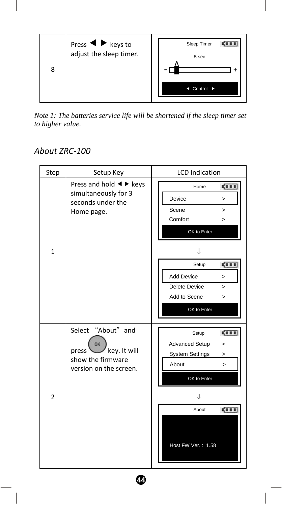

*Note 1: The batteries service life will be shortened if the sleep timer set to higher value.* 

# *About ZRC‐100*

| Step           | Setup Key                                                                                                                 | <b>LCD</b> Indication                                                                                                                                              |
|----------------|---------------------------------------------------------------------------------------------------------------------------|--------------------------------------------------------------------------------------------------------------------------------------------------------------------|
| $\mathbf{1}$   | Press and hold $\blacktriangleleft$ $\blacktriangleright$ keys<br>simultaneously for 3<br>seconds under the<br>Home page. | ga a a<br>Home<br>Device<br>$\geq$<br>Scene<br>$\geq$<br>Comfort<br>$\geq$<br>OK to Enter<br>₩                                                                     |
|                |                                                                                                                           | <b>CILL</b><br>Setup<br>Add Device<br>$\geq$<br>Delete Device<br>$\geq$<br>Add to Scene<br>$\geq$<br>OK to Enter                                                   |
| $\overline{2}$ | Select "About" and<br>OK<br>key. It will<br>press <sup>1</sup><br>show the firmware<br>version on the screen.             | <b>CERR</b><br>Setup<br><b>Advanced Setup</b><br>><br><b>System Settings</b><br>><br>About<br>$\geq$<br>OK to Enter<br>IJ<br>ga a a<br>About<br>Host FW Ver.: 1.58 |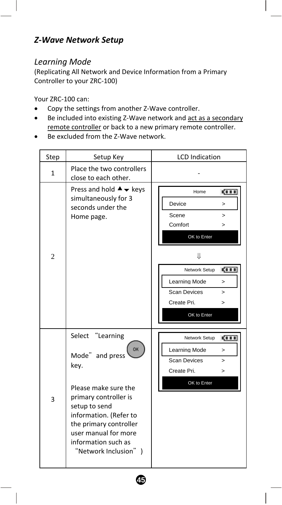## *Z‐Wave Network Setup*

#### *Learning Mode*

(Replicating All Network and Device Information from a Primary Controller to your ZRC‐100)

Your ZRC‐100 can:

- Copy the settings from another Z‐Wave controller.
- Be included into existing Z‐Wave network and act as a secondary remote controller or back to a new primary remote controller.
- Be excluded from the Z‐Wave network.

| Step           | Setup Key                                                                                                                                                                                                                                              | <b>LCD</b> Indication                                                                                                                                                                                                              |
|----------------|--------------------------------------------------------------------------------------------------------------------------------------------------------------------------------------------------------------------------------------------------------|------------------------------------------------------------------------------------------------------------------------------------------------------------------------------------------------------------------------------------|
| $\mathbf{1}$   | Place the two controllers<br>close to each other.                                                                                                                                                                                                      |                                                                                                                                                                                                                                    |
| $\overline{2}$ | Press and hold $\blacktriangle \blacktriangledown$ keys<br>simultaneously for 3<br>seconds under the<br>Home page.                                                                                                                                     | <b>CILL</b><br>Home<br>Device<br>$\geq$<br>Scene<br>><br>Comfort<br>$\geq$<br>OK to Enter<br>₩<br><b>CILL</b><br>Network Setup<br>Learning Mode<br>$\geq$<br><b>Scan Devices</b><br>$\geq$<br>Create Pri.<br>$\geq$<br>OK to Enter |
| 3              | Select "Learning<br><b>OK</b><br>Mode" and press<br>key.<br>Please make sure the<br>primary controller is<br>setup to send<br>information. (Refer to<br>the primary controller<br>user manual for more<br>information such as<br>"Network Inclusion" ) | <b>CILL</b><br>Network Setup<br>Learning Mode<br>$\geq$<br><b>Scan Devices</b><br>$\geq$<br>Create Pri.<br>><br>OK to Enter                                                                                                        |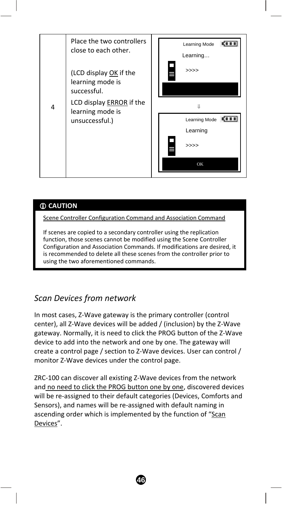

#### **CAUTION**

Scene Controller Configuration Command and Association Command

If scenes are copied to a secondary controller using the replication function, those scenes cannot be modified using the Scene Controller Configuration and Association Commands. If modifications are desired, it is recommended to delete all these scenes from the controller prior to using the two aforementioned commands.

### *Scan Devices from network*

In most cases, Z‐Wave gateway is the primary controller (control center), all Z‐Wave devices will be added / (inclusion) by the Z‐Wave gateway. Normally, it is need to click the PROG button of the Z‐Wave device to add into the network and one by one. The gateway will create a control page / section to Z‐Wave devices. User can control / monitor Z‐Wave devices under the control page.

ZRC‐100 can discover all existing Z‐Wave devices from the network and no need to click the PROG button one by one, discovered devices will be re‐assigned to their default categories (Devices, Comforts and Sensors), and names will be re‐assigned with default naming in ascending order which is implemented by the function of "Scan Devices".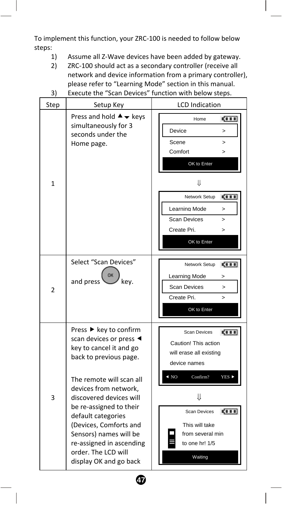To implement this function, your ZRC‐100 is needed to follow below steps:

- 1) Assume all Z‐Wave devices have been added by gateway.
- 2) ZRC-100 should act as a secondary controller (receive all network and device information from a primary controller), please refer to "Learning Mode" section in this manual. 3) Execute the "Scan Devices" function with below steps.
- Step Setup Key **Setup Key** LCD Indication Press and hold  $\blacktriangle \blacktriangledown$  keys Home **CITE** simultaneously for 3 Device > seconds under the Scene > Home page. Comfort > OK to Enter 1 ⇓ Network Setup **CITE** Learning Mode > Scan Devices > Create Pri<sup>1</sup> OK to Enter Select "Scan Devices" Network Setup **CILL** OK Learning Mode > and press  $\vee$  key. Scan Devices > 2 Create Pri. OK to Enter Press  $\blacktriangleright$  key to confirm Scan Devices **CITE** scan devices or press  $\triangleleft$ Caution! This action key to cancel it and go will erase all existing back to previous page. device names  $\triangleleft$  NO Confirm? YES  $\triangleright$ The remote will scan all devices from network, 3 discovered devices will ⇓ be re‐assigned to their Scan Devices **COLD** default categories (Devices, Comforts and This will take Sensors) names will be from several min re‐assigned in ascending to one hr! 1/5 order. The LCD will Waiting display OK and go back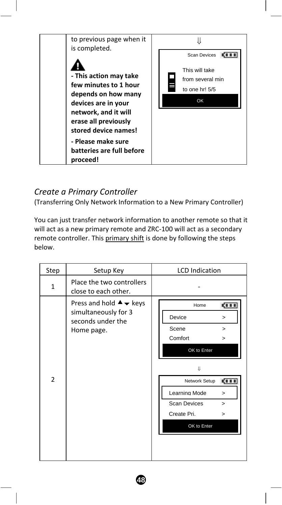

## *Create a Primary Controller*

(Transferring Only Network Information to a New Primary Controller)

You can just transfer network information to another remote so that it will act as a new primary remote and ZRC-100 will act as a secondary remote controller. This primary shift is done by following the steps below.

| Step           | Setup Key                                                                                                          | <b>LCD</b> Indication                                                                                                                                                                                      |
|----------------|--------------------------------------------------------------------------------------------------------------------|------------------------------------------------------------------------------------------------------------------------------------------------------------------------------------------------------------|
| $\mathbf{1}$   | Place the two controllers<br>close to each other.                                                                  |                                                                                                                                                                                                            |
| $\overline{2}$ | Press and hold $\blacktriangle \blacktriangledown$ keys<br>simultaneously for 3<br>seconds under the<br>Home page. | <b>CILL</b><br>Home<br>Device<br>><br>Scene<br>><br>Comfort<br>><br>OK to Enter<br>IJ<br><b>CILL</b><br>Network Setup<br>Learning Mode<br>><br><b>Scan Devices</b><br>><br>Create Pri.<br>><br>OK to Enter |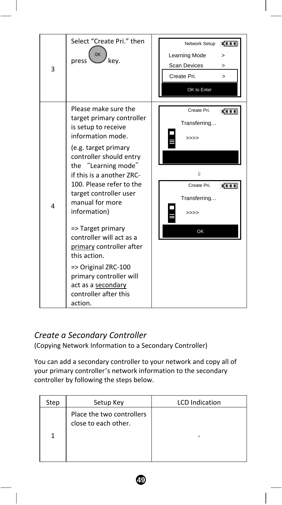| 3 | Select "Create Pri." then<br>OK<br>press<br>kev.                                                                                                                                                                                                                                                                                                                                                                                                                                                       | <b>CILL</b><br>Network Setup<br>Learning Mode<br>><br>Scan Devices<br>><br>Create Pri.<br>$\geq$<br>OK to Enter |
|---|--------------------------------------------------------------------------------------------------------------------------------------------------------------------------------------------------------------------------------------------------------------------------------------------------------------------------------------------------------------------------------------------------------------------------------------------------------------------------------------------------------|-----------------------------------------------------------------------------------------------------------------|
| 4 | Please make sure the<br>target primary controller<br>is setup to receive<br>information mode.<br>(e.g. target primary<br>controller should entry<br>the "Learning mode"<br>if this is a another ZRC-<br>100. Please refer to the<br>target controller user<br>manual for more<br>information)<br>=> Target primary<br>controller will act as a<br>primary controller after<br>this action.<br>=> Original ZRC-100<br>primary controller will<br>act as a secondary<br>controller after this<br>action. | Create Pri.<br>gi i i<br>Transferring<br>>>>><br>IJ<br>Create Pri.<br><b>CILL</b><br>Transferring<br>>>>><br>OK |

### *Create a Secondary Controller*

(Copying Network Information to a Secondary Controller)

You can add a secondary controller to your network and copy all of your primary controller's network information to the secondary controller by following the steps below.

| Step | Setup Key                                         | <b>LCD</b> Indication |
|------|---------------------------------------------------|-----------------------|
|      | Place the two controllers<br>close to each other. |                       |
|      |                                                   |                       |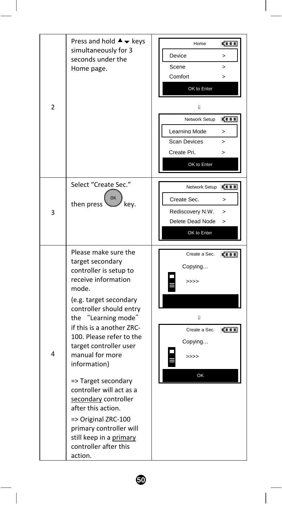| 2 | Press and hold $\blacktriangle \blacktriangledown$ keys<br>simultaneously for 3<br>seconds under the<br>Home page.                                                                                                                                                                                                                                                                                                                                                                                                     | Home<br><b>CELL</b><br>Device<br>><br>Scene<br>$\mathbf{r}$<br>Comfort<br>><br>OK to Enter<br>U<br><b>CILL</b><br>Network Setup<br>Learning Mode<br>><br><b>Scan Devices</b><br>$\mathbf{r}$<br>Create Pri.<br>$\geq$<br>OK to Enter |
|---|------------------------------------------------------------------------------------------------------------------------------------------------------------------------------------------------------------------------------------------------------------------------------------------------------------------------------------------------------------------------------------------------------------------------------------------------------------------------------------------------------------------------|--------------------------------------------------------------------------------------------------------------------------------------------------------------------------------------------------------------------------------------|
| 3 | Select "Create Sec."<br>OK<br>then press<br>key.                                                                                                                                                                                                                                                                                                                                                                                                                                                                       | Network Setup<br>5111<br>Create Sec.<br>><br>Rediscovery N.W.<br>><br>Delete Dead Node<br>5<br>OK to Enter                                                                                                                           |
| 4 | Please make sure the<br>target secondary<br>controller is setup to<br>receive information<br>mode.<br>(e.g. target secondary<br>controller should entry<br>the "Learning mode"<br>if this is a another ZRC-<br>100. Please refer to the<br>target controller user<br>manual for more<br>information)<br>=> Target secondary<br>controller will act as a<br>secondary controller<br>after this action.<br>=> Original ZRC-100<br>primary controller will<br>still keep in a primary<br>controller after this<br>action. | Create a Sec.<br><b>CIII</b><br>Copying<br>>>>><br>IJ<br>Create a Sec.<br>500<br>Copying<br>>>>><br>OK                                                                                                                               |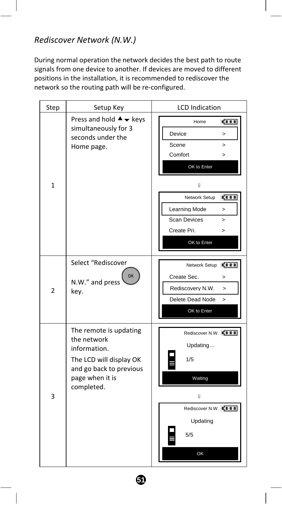## *Rediscover Network (N.W.)*

During normal operation the network decides the best path to route signals from one device to another. If devices are moved to different positions in the installation, it is recommended to rediscover the network so the routing path will be re‐configured.

| Step         | Setup Key                                                                                                                                    | <b>LCD</b> Indication                                                                                                                                                                                                             |
|--------------|----------------------------------------------------------------------------------------------------------------------------------------------|-----------------------------------------------------------------------------------------------------------------------------------------------------------------------------------------------------------------------------------|
| $\mathbf{1}$ | Press and hold $\blacktriangle \blacktriangledown$ keys<br>simultaneously for 3<br>seconds under the<br>Home page.                           | <b>CILL</b><br>Home<br>Device<br>><br>Scene<br>$\mathbf{r}$<br>Comfort<br>><br>OK to Enter<br>IJ.<br>ga a a<br>Network Setup<br>Learning Mode<br>$\geq$<br><b>Scan Devices</b><br>$\mathbf{r}$<br>Create Pri.<br>><br>OK to Enter |
| 2            | Select "Rediscover<br>OK<br>N.W." and press<br>key.                                                                                          | <b>CILL</b><br>Network Setup<br>Create Sec.<br>><br>Rediscovery N.W.<br>$\geq$<br>Delete Dead Node<br>$\mathbf{r}$<br>OK to Enter                                                                                                 |
| 3            | The remote is updating<br>the network<br>information.<br>The LCD will display OK<br>and go back to previous<br>page when it is<br>completed. | Rediscover N.W. E III<br>Updating<br>1/5<br>Waiting<br>IJ.<br>Rediscover N.W. KITT<br>Updating<br>5/5<br>OK                                                                                                                       |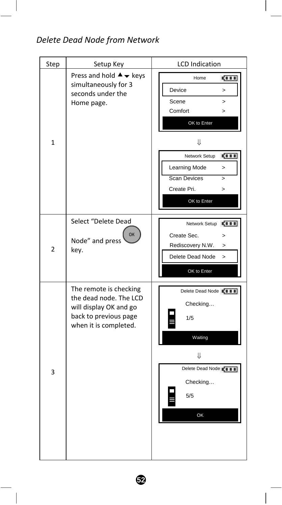# *Delete Dead Node from Network*

| Step         | Setup Key                                                                                                                    | <b>LCD</b> Indication                                                                                                                                                                                                                      |
|--------------|------------------------------------------------------------------------------------------------------------------------------|--------------------------------------------------------------------------------------------------------------------------------------------------------------------------------------------------------------------------------------------|
| $\mathbf{1}$ | Press and hold $\blacktriangle \blacktriangledown$ keys<br>simultaneously for 3<br>seconds under the<br>Home page.           | <b>CITE</b><br>Home<br>Device<br>$\geq$<br>Scene<br>$\mathbf{r}$<br>Comfort<br>$\geq$<br>OK to Enter<br>⇓<br>Network Setup<br>ст<br>Learning Mode<br>$\mathbf{r}$<br><b>Scan Devices</b><br>$\geq$<br>Create Pri.<br>$\geq$<br>OK to Enter |
| 2            | Select "Delete Dead<br>OK<br>Node" and press<br>key.                                                                         | Network Setup EIII<br>Create Sec.<br>$\geq$<br>Rediscovery N.W.<br>><br>Delete Dead Node<br>$\geq$<br>OK to Enter                                                                                                                          |
| 3            | The remote is checking<br>the dead node. The LCD<br>will display OK and go<br>back to previous page<br>when it is completed. | Delete Dead Node ELILE<br>Checking<br>1/5<br>Waiting<br>⇓<br>Delete Dead Node KIII<br>Checking<br>5/5<br>OK                                                                                                                                |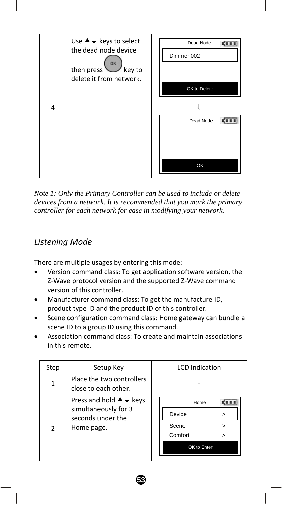

*Note 1: Only the Primary Controller can be used to include or delete devices from a network. It is recommended that you mark the primary controller for each network for ease in modifying your network.* 

## *Listening Mode*

There are multiple usages by entering this mode:

- Version command class: To get application software version, the Z‐Wave protocol version and the supported Z‐Wave command version of this controller.
- Manufacturer command class: To get the manufacture ID, product type ID and the product ID of this controller.
- Scene configuration command class: Home gateway can bundle a scene ID to a group ID using this command.
- Association command class: To create and maintain associations in this remote.

| Step | Setup Key                                                                                                          | <b>LCD</b> Indication                                            |
|------|--------------------------------------------------------------------------------------------------------------------|------------------------------------------------------------------|
|      | Place the two controllers<br>close to each other.                                                                  |                                                                  |
| 2    | Press and hold $\blacktriangle \blacktriangledown$ keys<br>simultaneously for 3<br>seconds under the<br>Home page. | Home<br>Device<br>><br>Scene<br>><br>Comfort<br>><br>OK to Enter |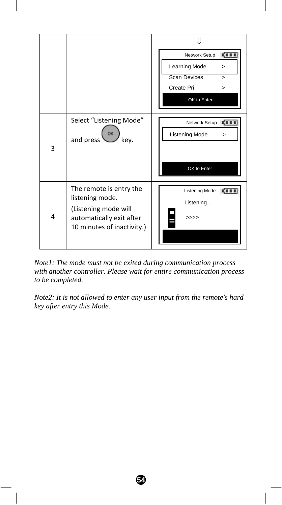

*Note1: The mode must not be exited during communication process with another controller. Please wait for entire communication process to be completed.* 

*Note2: It is not allowed to enter any user input from the remote's hard key after entry this Mode.*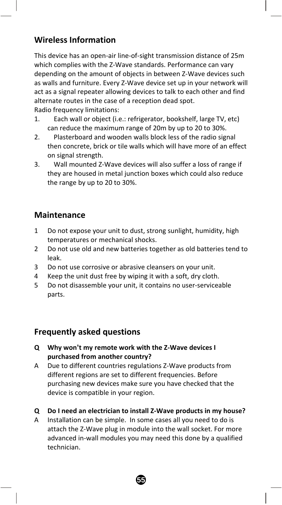## **Wireless Information**

This device has an open‐air line‐of‐sight transmission distance of 25m which complies with the Z-Wave standards. Performance can vary depending on the amount of objects in between Z‐Wave devices such as walls and furniture. Every Z‐Wave device set up in your network will act as a signal repeater allowing devices to talk to each other and find alternate routes in the case of a reception dead spot. Radio frequency limitations:

- 1. Each wall or object (i.e.: refrigerator, bookshelf, large TV, etc) can reduce the maximum range of 20m by up to 20 to 30%.
- 2. Plasterboard and wooden walls block less of the radio signal then concrete, brick or tile walls which will have more of an effect on signal strength.
- 3. Wall mounted Z‐Wave devices will also suffer a loss of range if they are housed in metal junction boxes which could also reduce the range by up to 20 to 30%.

### **Maintenance**

- 1 Do not expose your unit to dust, strong sunlight, humidity, high temperatures or mechanical shocks.
- 2 Do not use old and new batteries together as old batteries tend to leak.
- 3 Do not use corrosive or abrasive cleansers on your unit.
- 4 Keep the unit dust free by wiping it with a soft, dry cloth.
- 5 Do not disassemble your unit, it contains no user‐serviceable parts.

### **Frequently asked questions**

- **Q Why won't my remote work with the Z‐Wave devices I purchased from another country?**
- A Due to different countries regulations Z‐Wave products from different regions are set to different frequencies. Before purchasing new devices make sure you have checked that the device is compatible in your region.
- **Q Do I need an electrician to install Z‐Wave products in my house?**
- A Installation can be simple. In some cases all you need to do is attach the Z‐Wave plug in module into the wall socket. For more advanced in‐wall modules you may need this done by a qualified technician.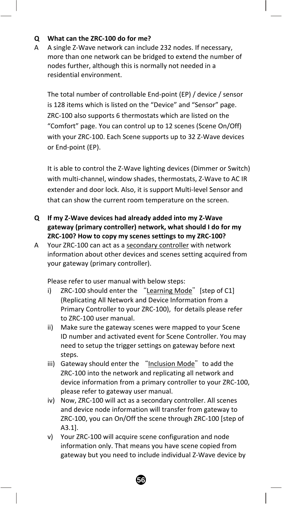#### **Q What can the ZRC‐100 do for me?**

A A single Z‐Wave network can include 232 nodes. If necessary, more than one network can be bridged to extend the number of nodes further, although this is normally not needed in a residential environment.

The total number of controllable End‐point (EP) / device / sensor is 128 items which is listed on the "Device" and "Sensor" page. ZRC‐100 also supports 6 thermostats which are listed on the "Comfort" page. You can control up to 12 scenes (Scene On/Off) with your ZRC-100. Each Scene supports up to 32 Z-Wave devices or End‐point (EP).

It is able to control the Z‐Wave lighting devices (Dimmer or Switch) with multi-channel, window shades, thermostats, Z-Wave to AC IR extender and door lock. Also, it is support Multi‐level Sensor and that can show the current room temperature on the screen.

- **Q If my Z‐Wave devices had already added into my Z‐Wave gateway (primary controller) network, what should I do for my ZRC‐100? How to copy my scenes settings to my ZRC‐100?**
- A Your ZRC‐100 can act as a secondary controller with network information about other devices and scenes setting acquired from your gateway (primary controller).

Please refer to user manual with below steps:

- i) ZRC-100 should enter the "Learning Mode" [step of C1] (Replicating All Network and Device Information from a Primary Controller to your ZRC‐100), for details please refer to ZRC‐100 user manual.
- ii) Make sure the gateway scenes were mapped to your Scene ID number and activated event for Scene Controller. You may need to setup the trigger settings on gateway before next steps.
- iii) Gateway should enter the "Inclusion Mode" to add the ZRC‐100 into the network and replicating all network and device information from a primary controller to your ZRC‐100, please refer to gateway user manual.
- iv) Now, ZRC‐100 will act as a secondary controller. All scenes and device node information will transfer from gateway to ZRC‐100, you can On/Off the scene through ZRC‐100 [step of A3.1].
- v) Your ZRC‐100 will acquire scene configuration and node information only. That means you have scene copied from gateway but you need to include individual Z‐Wave device by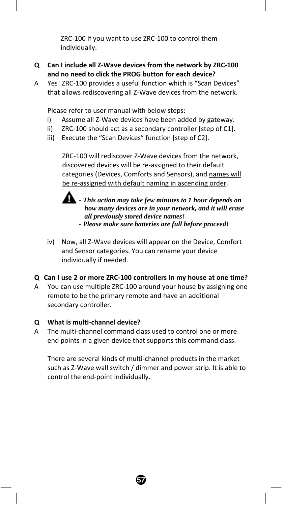ZRC‐100 if you want to use ZRC‐100 to control them individually.

- **Q Can I include all Z‐Wave devices from the network by ZRC‐100 and no need to click the PROG button for each device?**
- A Yes! ZRC‐100 provides a useful function which is "Scan Devices" that allows rediscovering all Z‐Wave devices from the network.

Please refer to user manual with below steps:

- i) Assume all Z-Wave devices have been added by gateway.
- ii) ZRC-100 should act as a secondary controller [step of C1].
- iii) Execute the "Scan Devices" function [step of C2].

ZRC‐100 will rediscover Z‐Wave devices from the network, discovered devices will be re‐assigned to their default categories (Devices, Comforts and Sensors), and names will be re-assigned with default naming in ascending order.



 *- This action may take few minutes to 1 hour depends on how many devices are in your network, and it will erase all previously stored device names!* 

- *Please make sure batteries are full before proceed!*
- iv) Now, all Z‐Wave devices will appear on the Device, Comfort and Sensor categories. You can rename your device individually if needed.

#### **Q Can I use 2 or more ZRC‐100 controllers in my house at one time?**

A You can use multiple ZRC‐100 around your house by assigning one remote to be the primary remote and have an additional secondary controller.

#### **Q What is multi‐channel device?**

A The multi‐channel command class used to control one or more end points in a given device that supports this command class.

There are several kinds of multi‐channel products in the market such as Z‐Wave wall switch / dimmer and power strip. It is able to control the end‐point individually.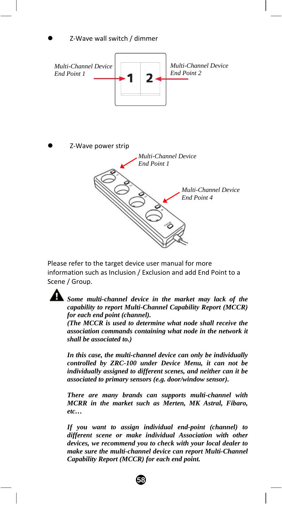

Please refer to the target device user manual for more information such as Inclusion / Exclusion and add End Point to a Scene / Group.



*Some multi-channel device in the market may lack of the capability to report Multi-Channel Capability Report (MCCR) for each end point (channel).* 

*(The MCCR is used to determine what node shall receive the association commands containing what node in the network it shall be associated to.)* 

*In this case, the multi-channel device can only be individually controlled by ZRC-100 under Device Menu, it can not be individually assigned to different scenes, and neither can it be associated to primary sensors (e.g. door/window sensor).* 

*There are many brands can supports multi-channel with MCRR in the market such as Merten, MK Astral, Fibaro, etc…* 

*If you want to assign individual end-point (channel) to different scene or make individual Association with other devices, we recommend you to check with your local dealer to make sure the multi-channel device can report Multi-Channel Capability Report (MCCR) for each end point.*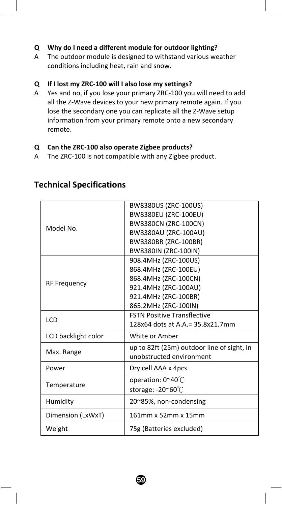#### **Q Why do I need a different module for outdoor lighting?**

A The outdoor module is designed to withstand various weather conditions including heat, rain and snow.

#### **Q If I lost my ZRC‐100 will I also lose my settings?**

A Yes and no, if you lose your primary ZRC‐100 you will need to add all the Z‐Wave devices to your new primary remote again. If you lose the secondary one you can replicate all the Z‐Wave setup information from your primary remote onto a new secondary remote.

#### **Q Can the ZRC‐100 also operate Zigbee products?**

A The ZRC‐100 is not compatible with any Zigbee product.

|                     | BW8380US (ZRC-100US)                       |
|---------------------|--------------------------------------------|
|                     | BW8380EU (ZRC-100EU)                       |
| Model No.           | BW8380CN (ZRC-100CN)                       |
|                     | BW8380AU (ZRC-100AU)                       |
|                     | BW8380BR (ZRC-100BR)                       |
|                     | BW8380IN (ZRC-100IN)                       |
|                     | 908.4MHz (ZRC-100US)                       |
|                     | 868.4MHz (ZRC-100EU)                       |
| <b>RF Frequency</b> | 868.4MHz (ZRC-100CN)                       |
|                     | 921.4MHz (ZRC-100AU)                       |
|                     | 921.4MHz (ZRC-100BR)                       |
|                     | 865.2MHz (ZRC-100IN)                       |
| LCD                 | <b>FSTN Positive Transflective</b>         |
|                     | 128x64 dots at A.A.= 35.8x21.7mm           |
| LCD backlight color | White or Amber                             |
|                     | up to 82ft (25m) outdoor line of sight, in |
| Max. Range          | unobstructed environment                   |
| Power               | Dry cell AAA x 4pcs                        |
|                     | operation: 0~40℃                           |
| Temperature         | storage: -20~60°C                          |
| Humidity            | 20~85%, non-condensing                     |
| Dimension (LxWxT)   | 161mm x 52mm x 15mm                        |
| Weight              | 75g (Batteries excluded)                   |
|                     |                                            |

#### **Technical Specifications**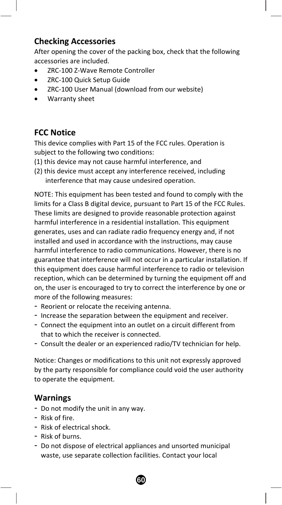### **Checking Accessories**

After opening the cover of the packing box, check that the following accessories are included.

- ZRC‐100 Z‐Wave Remote Controller
- ZRC‐100 Quick Setup Guide
- ZRC‐100 User Manual (download from our website)
- Warranty sheet

### **FCC Notice**

This device complies with Part 15 of the FCC rules. Operation is subject to the following two conditions:

- (1) this device may not cause harmful interference, and
- (2) this device must accept any interference received, including interference that may cause undesired operation.

NOTE: This equipment has been tested and found to comply with the limits for a Class B digital device, pursuant to Part 15 of the FCC Rules. These limits are designed to provide reasonable protection against harmful interference in a residential installation. This equipment generates, uses and can radiate radio frequency energy and, if not installed and used in accordance with the instructions, may cause harmful interference to radio communications. However, there is no guarantee that interference will not occur in a particular installation. If this equipment does cause harmful interference to radio or television reception, which can be determined by turning the equipment off and on, the user is encouraged to try to correct the interference by one or more of the following measures:

- Reorient or relocate the receiving antenna.
- Increase the separation between the equipment and receiver.
- Connect the equipment into an outlet on a circuit different from that to which the receiver is connected.
- Consult the dealer or an experienced radio/TV technician for help.

Notice: Changes or modifications to this unit not expressly approved by the party responsible for compliance could void the user authority to operate the equipment.

#### **Warnings**

- Do not modify the unit in any way.
- Risk of fire.
- Risk of electrical shock.
- Risk of burns.
- Do not dispose of electrical appliances and unsorted municipal waste, use separate collection facilities. Contact your local